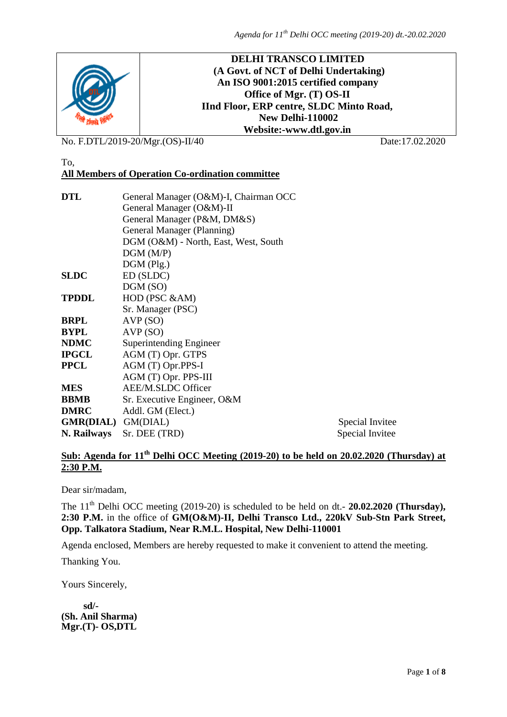

No. F.DTL/2019-20/Mgr.(OS)-II/40 Date:17.02.2020

#### To, **All Members of Operation Co-ordination committee**

| <b>DTL</b>                | General Manager (O&M)-I, Chairman OCC |                 |  |  |  |  |
|---------------------------|---------------------------------------|-----------------|--|--|--|--|
|                           | General Manager (O&M)-II              |                 |  |  |  |  |
|                           | General Manager (P&M, DM&S)           |                 |  |  |  |  |
|                           | General Manager (Planning)            |                 |  |  |  |  |
|                           | DGM (O&M) - North, East, West, South  |                 |  |  |  |  |
|                           | DGM(M/P)                              |                 |  |  |  |  |
|                           | $DGM$ (Plg.)                          |                 |  |  |  |  |
| <b>SLDC</b>               | ED (SLDC)                             |                 |  |  |  |  |
|                           | DGM (SO)                              |                 |  |  |  |  |
| <b>TPDDL</b>              | HOD (PSC &AM)                         |                 |  |  |  |  |
|                           | Sr. Manager (PSC)                     |                 |  |  |  |  |
| <b>BRPL</b>               | AVP(SO)                               |                 |  |  |  |  |
| <b>BYPL</b>               | AVP(SO)                               |                 |  |  |  |  |
| <b>NDMC</b>               | Superintending Engineer               |                 |  |  |  |  |
| <b>IPGCL</b>              | AGM (T) Opr. GTPS                     |                 |  |  |  |  |
| <b>PPCL</b>               | AGM (T) Opr.PPS-I                     |                 |  |  |  |  |
|                           | AGM (T) Opr. PPS-III                  |                 |  |  |  |  |
| <b>MES</b>                | AEE/M.SLDC Officer                    |                 |  |  |  |  |
| <b>BBMB</b>               | Sr. Executive Engineer, O&M           |                 |  |  |  |  |
| <b>DMRC</b>               | Addl. GM (Elect.)                     |                 |  |  |  |  |
| <b>GMR(DIAL)</b> GM(DIAL) |                                       | Special Invitee |  |  |  |  |
| N. Railways               | Sr. DEE (TRD)                         | Special Invitee |  |  |  |  |

## Sub: Agenda for 11<sup>th</sup> Delhi OCC Meeting (2019-20) to be held on 20.02.2020 (Thursday) at **2:30 P.M.**

Dear sir/madam,

The 11<sup>th</sup> Delhi OCC meeting (2019-20) is scheduled to be held on dt.- **20.02.2020 (Thursday)**, **2:30 P.M.** in the office of **GM(O&M)-II, Delhi Transco Ltd., 220kV Sub-Stn Park Street, Opp. Talkatora Stadium, Near R.M.L. Hospital, New Delhi-110001**

Agenda enclosed, Members are hereby requested to make it convenient to attend the meeting.

Thanking You.

Yours Sincerely,

 **sd/- (Sh. Anil Sharma) Mgr.(T)- OS,DTL**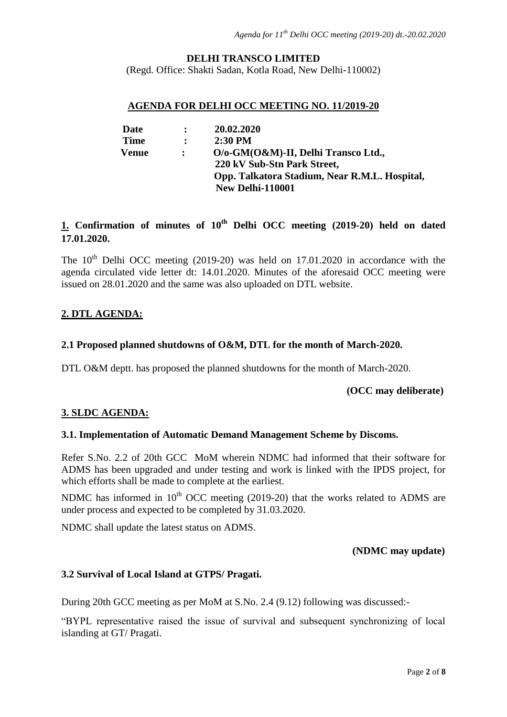## **DELHI TRANSCO LIMITED**

(Regd. Office: Shakti Sadan, Kotla Road, New Delhi-110002)

#### **AGENDA FOR DELHI OCC MEETING NO. 11/2019-20**

| Date        | $\ddot{\cdot}$ | 20.02.2020                                    |
|-------------|----------------|-----------------------------------------------|
| <b>Time</b> | $\ddot{\cdot}$ | $2:30$ PM                                     |
| Venue       |                | O/o-GM(O&M)-II, Delhi Transco Ltd.,           |
|             |                | 220 kV Sub-Stn Park Street,                   |
|             |                | Opp. Talkatora Stadium, Near R.M.L. Hospital, |
|             |                | New Delhi-110001                              |

# **1. Confirmation of minutes of 10th Delhi OCC meeting (2019-20) held on dated 17.01.2020.**

The  $10<sup>th</sup>$  Delhi OCC meeting (2019-20) was held on 17.01.2020 in accordance with the agenda circulated vide letter dt: 14.01.2020. Minutes of the aforesaid OCC meeting were issued on 28.01.2020 and the same was also uploaded on DTL website.

# **2. DTL AGENDA:**

#### **2.1 Proposed planned shutdowns of O&M, DTL for the month of March-2020.**

DTL O&M deptt. has proposed the planned shutdowns for the month of March-2020.

 **(OCC may deliberate)**

## **3. SLDC AGENDA:**

#### **3.1. Implementation of Automatic Demand Management Scheme by Discoms.**

Refer S.No. 2.2 of 20th GCC MoM wherein NDMC had informed that their software for ADMS has been upgraded and under testing and work is linked with the IPDS project, for which efforts shall be made to complete at the earliest.

NDMC has informed in  $10<sup>th</sup>$  OCC meeting (2019-20) that the works related to ADMS are under process and expected to be completed by 31.03.2020.

NDMC shall update the latest status on ADMS.

#### **(NDMC may update)**

#### **3.2 Survival of Local Island at GTPS/ Pragati.**

During 20th GCC meeting as per MoM at S.No. 2.4 (9.12) following was discussed:-

"BYPL representative raised the issue of survival and subsequent synchronizing of local islanding at GT/ Pragati.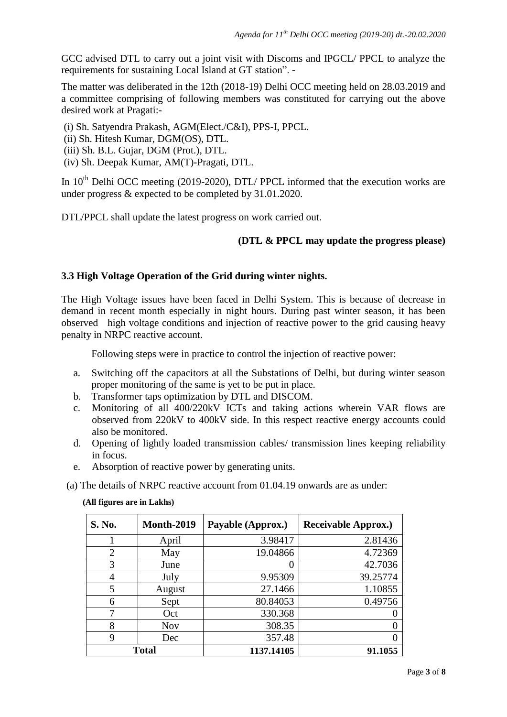GCC advised DTL to carry out a joint visit with Discoms and IPGCL/ PPCL to analyze the requirements for sustaining Local Island at GT station". -

The matter was deliberated in the 12th (2018-19) Delhi OCC meeting held on 28.03.2019 and a committee comprising of following members was constituted for carrying out the above desired work at Pragati:-

(i) Sh. Satyendra Prakash, AGM(Elect./C&I), PPS-I, PPCL.

(ii) Sh. Hitesh Kumar, DGM(OS), DTL.

- (iii) Sh. B.L. Gujar, DGM (Prot.), DTL.
- (iv) Sh. Deepak Kumar, AM(T)-Pragati, DTL.

In  $10^{th}$  Delhi OCC meeting (2019-2020), DTL/ PPCL informed that the execution works are under progress & expected to be completed by 31.01.2020.

DTL/PPCL shall update the latest progress on work carried out.

# **(DTL & PPCL may update the progress please)**

# **3.3 High Voltage Operation of the Grid during winter nights.**

The High Voltage issues have been faced in Delhi System. This is because of decrease in demand in recent month especially in night hours. During past winter season, it has been observed high voltage conditions and injection of reactive power to the grid causing heavy penalty in NRPC reactive account.

Following steps were in practice to control the injection of reactive power:

- a. Switching off the capacitors at all the Substations of Delhi, but during winter season proper monitoring of the same is yet to be put in place.
- b. Transformer taps optimization by DTL and DISCOM.
- c. Monitoring of all 400/220kV ICTs and taking actions wherein VAR flows are observed from 220kV to 400kV side. In this respect reactive energy accounts could also be monitored.
- d. Opening of lightly loaded transmission cables/ transmission lines keeping reliability in focus.
- e. Absorption of reactive power by generating units.

(a) The details of NRPC reactive account from 01.04.19 onwards are as under:

#### **(All figures are in Lakhs)**

| S. No.         | <b>Month-2019</b> | Payable (Approx.) | <b>Receivable Approx.)</b> |
|----------------|-------------------|-------------------|----------------------------|
|                | April             | 3.98417           | 2.81436                    |
| $\overline{2}$ | May               | 19.04866          | 4.72369                    |
| 3              | June              |                   | 42.7036                    |
| 4              | July              | 9.95309           | 39.25774                   |
| 5              | August            | 27.1466           | 1.10855                    |
| 6              | Sept              | 80.84053          | 0.49756                    |
|                | Oct               | 330.368           |                            |
| 8              | <b>Nov</b>        | 308.35            |                            |
| 9              | Dec               | 357.48            |                            |
| <b>Total</b>   |                   | 1137.14105        | 91.1055                    |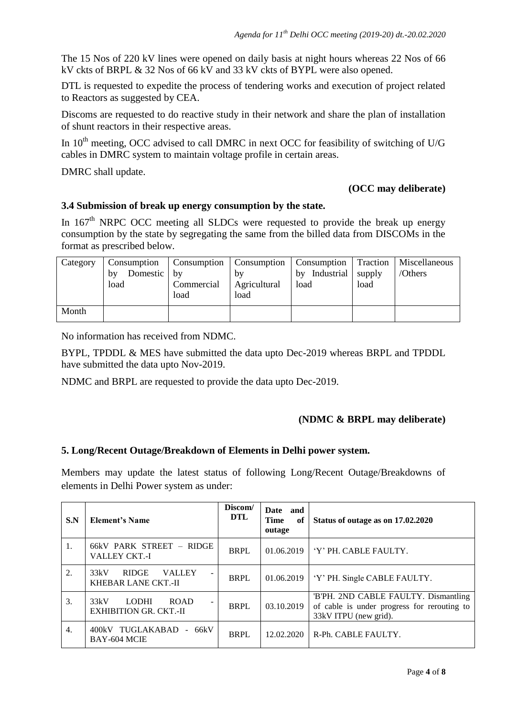The 15 Nos of 220 kV lines were opened on daily basis at night hours whereas 22 Nos of 66 kV ckts of BRPL & 32 Nos of 66 kV and 33 kV ckts of BYPL were also opened.

DTL is requested to expedite the process of tendering works and execution of project related to Reactors as suggested by CEA.

Discoms are requested to do reactive study in their network and share the plan of installation of shunt reactors in their respective areas.

In  $10<sup>th</sup>$  meeting, OCC advised to call DMRC in next OCC for feasibility of switching of U/G cables in DMRC system to maintain voltage profile in certain areas.

DMRC shall update.

#### **(OCC may deliberate)**

#### **3.4 Submission of break up energy consumption by the state.**

In  $167<sup>th</sup>$  NRPC OCC meeting all SLDCs were requested to provide the break up energy consumption by the state by segregating the same from the billed data from DISCOMs in the format as prescribed below.

| Category | Consumption   Consumption   Consumption   Consumption   Traction |            |              |                         |      | Miscellaneous |
|----------|------------------------------------------------------------------|------------|--------------|-------------------------|------|---------------|
|          | Domestic by<br>bv                                                |            | b٧           | Industrial supply<br>bv |      | /Others       |
|          | load                                                             | Commercial | Agricultural | load                    | load |               |
|          |                                                                  | load       | load         |                         |      |               |
| Month    |                                                                  |            |              |                         |      |               |

No information has received from NDMC.

BYPL, TPDDL & MES have submitted the data upto Dec-2019 whereas BRPL and TPDDL have submitted the data upto Nov-2019.

NDMC and BRPL are requested to provide the data upto Dec-2019.

## **(NDMC & BRPL may deliberate)**

#### **5. Long/Recent Outage/Breakdown of Elements in Delhi power system.**

Members may update the latest status of following Long/Recent Outage/Breakdowns of elements in Delhi Power system as under:

| S.N | <b>Element's Name</b>                                                                            | Discom/<br>DTL | Date and<br><b>Time</b><br>of<br>outage | Status of outage as on 17.02.2020                                                                            |
|-----|--------------------------------------------------------------------------------------------------|----------------|-----------------------------------------|--------------------------------------------------------------------------------------------------------------|
| 1.  | 66kV PARK STREET - RIDGE<br><b>VALLEY CKT.-I</b>                                                 | <b>BRPL</b>    | 01.06.2019                              | 'Y' PH. CABLE FAULTY.                                                                                        |
| 2.  | <b>RIDGE</b><br>33kV<br><b>VALLEY</b><br>$\overline{\phantom{0}}$<br>KHEBAR LANE CKT.-II         | <b>BRPL</b>    | 01.06.2019                              | 'Y' PH. Single CABLE FAULTY.                                                                                 |
| 3.  | 33kV<br><b>LODHI</b><br><b>ROAD</b><br>$\overline{\phantom{a}}$<br><b>EXHIBITION GR. CKT.-II</b> | <b>BRPL</b>    | 03.10.2019                              | 'B'PH. 2ND CABLE FAULTY. Dismantling<br>of cable is under progress for rerouting to<br>33kV ITPU (new grid). |
| 4.  | 400kV TUGLAKABAD - 66kV<br>BAY-604 MCIE                                                          | <b>BRPL</b>    | 12.02.2020                              | R-Ph. CABLE FAULTY.                                                                                          |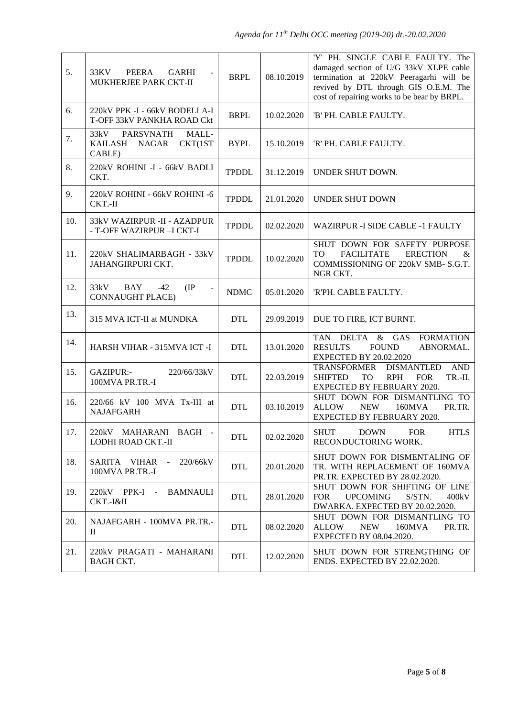| 5.  | 33KV<br>PEERA<br>GARHI<br>MUKHERJEE PARK CKT-II                                                     | <b>BRPL</b>  | 08.10.2019 | 'Y' PH. SINGLE CABLE FAULTY. The<br>damaged section of U/G 33kV XLPE cable<br>termination at 220kV Peeragarhi will be<br>revived by DTL through GIS O.E.M. The<br>cost of repairing works to be bear by BRPL. |
|-----|-----------------------------------------------------------------------------------------------------|--------------|------------|---------------------------------------------------------------------------------------------------------------------------------------------------------------------------------------------------------------|
| 6.  | 220kV PPK -I - 66kV BODELLA-I<br>T-OFF 33kV PANKHA ROAD Ckt                                         | <b>BRPL</b>  | 10.02.2020 | 'B' PH. CABLE FAULTY.                                                                                                                                                                                         |
| 7.  | <b>PARSVNATH</b><br>MALL-<br>33kV<br><b>KAILASH</b><br>NAGAR<br>CKT(1ST<br>CABLE)                   | <b>BYPL</b>  | 15.10.2019 | 'R' PH. CABLE FAULTY.                                                                                                                                                                                         |
| 8.  | 220kV ROHINI -I - 66kV BADLI<br>CKT.                                                                | <b>TPDDL</b> | 31.12.2019 | UNDER SHUT DOWN.                                                                                                                                                                                              |
| 9.  | 220kV ROHINI - 66kV ROHINI -6<br>CKT.-II                                                            | <b>TPDDL</b> | 21.01.2020 | <b>UNDER SHUT DOWN</b>                                                                                                                                                                                        |
| 10. | 33kV WAZIRPUR -II - AZADPUR<br>- T-OFF WAZIRPUR - I CKT-I                                           | <b>TPDDL</b> | 02.02.2020 | <b>WAZIRPUR -I SIDE CABLE -1 FAULTY</b>                                                                                                                                                                       |
| 11. | 220kV SHALIMARBAGH - 33kV<br>JAHANGIRPURI CKT.                                                      | <b>TPDDL</b> | 10.02.2020 | SHUT DOWN FOR SAFETY PURPOSE<br><b>TO</b><br><b>FACILITATE</b><br><b>ERECTION</b><br>&<br>COMMISSIONING OF 220kV SMB- S.G.T.<br>NGR CKT.                                                                      |
| 12. | 33kV<br><b>BAY</b><br>$-42$<br>$(\text{IP})$<br>$\overline{\phantom{a}}$<br><b>CONNAUGHT PLACE)</b> | <b>NDMC</b>  | 05.01.2020 | 'R'PH. CABLE FAULTY.                                                                                                                                                                                          |
| 13. | 315 MVA ICT-II at MUNDKA                                                                            | <b>DTL</b>   | 29.09.2019 | DUE TO FIRE, ICT BURNT.                                                                                                                                                                                       |
| 14. | HARSH VIHAR - 315MVA ICT -I                                                                         | <b>DTL</b>   | 13.01.2020 | <b>TAN</b><br><b>DELTA</b><br>$&$ GAS<br><b>FORMATION</b><br><b>RESULTS</b><br><b>FOUND</b><br>ABNORMAL.<br><b>EXPECTED BY 20.02.2020</b>                                                                     |
| 15. | GAZIPUR:-<br>220/66/33kV<br>100MVA PR.TR.-I                                                         | <b>DTL</b>   | 22.03.2019 | $\mathbf{AND}$<br>TRANSFORMER<br><b>DISMANTLED</b><br><b>SHIFTED</b><br><b>RPH</b><br><b>FOR</b><br>TR.-II.<br>TO<br>EXPECTED BY FEBRUARY 2020.                                                               |
| 16. | 220/66 kV 100 MVA Tx-III at<br><b>NAJAFGARH</b>                                                     | <b>DTL</b>   | 03.10.2019 | SHUT DOWN FOR DISMANTLING TO<br><b>ALLOW</b><br><b>NEW</b><br>160MVA<br>PR.TR.<br>EXPECTED BY FEBRUARY 2020.                                                                                                  |
| 17. | 220kV MAHARANI BAGH -<br>LODHI ROAD CKT.-II                                                         | <b>DTL</b>   | 02.02.2020 | SHUT DOWN FOR<br><b>HTLS</b><br>RECONDUCTORING WORK.                                                                                                                                                          |
| 18. | SARITA VIHAR -<br>220/66kV<br>100MVA PR.TR.-I                                                       | <b>DTL</b>   | 20.01.2020 | SHUT DOWN FOR DISMENTALING OF<br>TR. WITH REPLACEMENT OF 160MVA<br>PR.TR. EXPECTED BY 28.02.2020.                                                                                                             |
| 19. | 220kV PPK-I - BAMNAULI<br>CKT.-I&II                                                                 | <b>DTL</b>   | 28.01.2020 | SHUT DOWN FOR SHIFTING OF LINE<br><b>FOR</b><br><b>UPCOMING</b><br>S/STN.<br>400kV<br>DWARKA. EXPECTED BY 20.02.2020.                                                                                         |
| 20. | NAJAFGARH - 100MVA PR.TR.-<br>H                                                                     | <b>DTL</b>   | 08.02.2020 | SHUT DOWN FOR DISMANTLING TO<br>ALLOW<br><b>NEW</b><br>160MVA<br>PR.TR.<br><b>EXPECTED BY 08.04.2020.</b>                                                                                                     |
| 21. | 220kV PRAGATI - MAHARANI<br><b>BAGH CKT.</b>                                                        | <b>DTL</b>   | 12.02.2020 | SHUT DOWN FOR STRENGTHING OF<br>ENDS. EXPECTED BY 22.02.2020.                                                                                                                                                 |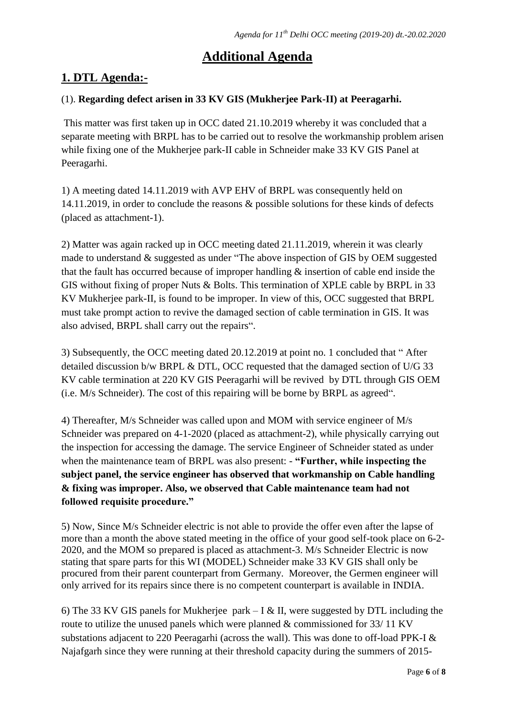# **Additional Agenda**

# **1. DTL Agenda:-**

# (1). **Regarding defect arisen in 33 KV GIS (Mukherjee Park-II) at Peeragarhi.**

This matter was first taken up in OCC dated 21.10.2019 whereby it was concluded that a separate meeting with BRPL has to be carried out to resolve the workmanship problem arisen while fixing one of the Mukherjee park-II cable in Schneider make 33 KV GIS Panel at Peeragarhi.

1) A meeting dated 14.11.2019 with AVP EHV of BRPL was consequently held on 14.11.2019, in order to conclude the reasons & possible solutions for these kinds of defects (placed as attachment-1).

2) Matter was again racked up in OCC meeting dated 21.11.2019, wherein it was clearly made to understand & suggested as under "The above inspection of GIS by OEM suggested that the fault has occurred because of improper handling & insertion of cable end inside the GIS without fixing of proper Nuts & Bolts. This termination of XPLE cable by BRPL in 33 KV Mukherjee park-II, is found to be improper. In view of this, OCC suggested that BRPL must take prompt action to revive the damaged section of cable termination in GIS. It was also advised, BRPL shall carry out the repairs".

3) Subsequently, the OCC meeting dated 20.12.2019 at point no. 1 concluded that " After detailed discussion b/w BRPL & DTL, OCC requested that the damaged section of U/G 33 KV cable termination at 220 KV GIS Peeragarhi will be revived by DTL through GIS OEM (i.e. M/s Schneider). The cost of this repairing will be borne by BRPL as agreed".

4) Thereafter, M/s Schneider was called upon and MOM with service engineer of M/s Schneider was prepared on 4-1-2020 (placed as attachment-2), while physically carrying out the inspection for accessing the damage. The service Engineer of Schneider stated as under when the maintenance team of BRPL was also present: - **"Further, while inspecting the subject panel, the service engineer has observed that workmanship on Cable handling & fixing was improper. Also, we observed that Cable maintenance team had not followed requisite procedure."** 

5) Now, Since M/s Schneider electric is not able to provide the offer even after the lapse of more than a month the above stated meeting in the office of your good self-took place on 6-2- 2020, and the MOM so prepared is placed as attachment-3. M/s Schneider Electric is now stating that spare parts for this WI (MODEL) Schneider make 33 KV GIS shall only be procured from their parent counterpart from Germany. Moreover, the Germen engineer will only arrived for its repairs since there is no competent counterpart is available in INDIA.

6) The 33 KV GIS panels for Mukherjee park – I & II, were suggested by DTL including the route to utilize the unused panels which were planned & commissioned for 33/ 11 KV substations adjacent to 220 Peeragarhi (across the wall). This was done to off-load PPK-I & Najafgarh since they were running at their threshold capacity during the summers of 2015-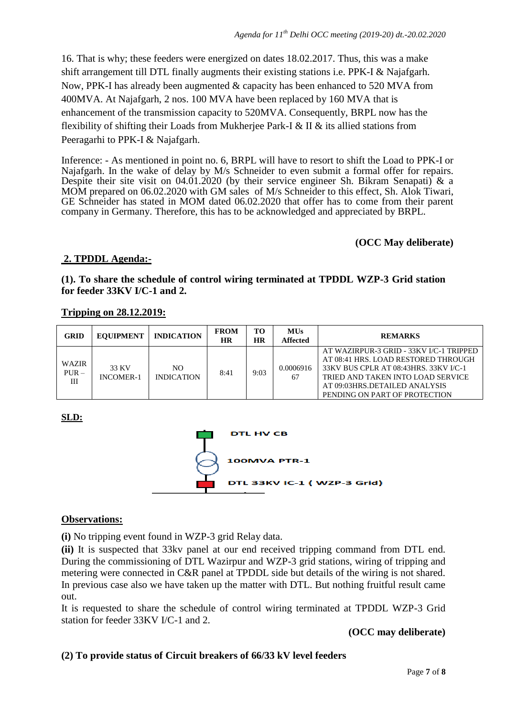16. That is why; these feeders were energized on dates 18.02.2017. Thus, this was a make shift arrangement till DTL finally augments their existing stations i.e. PPK-I & Najafgarh. Now, PPK-I has already been augmented & capacity has been enhanced to 520 MVA from 400MVA. At Najafgarh, 2 nos. 100 MVA have been replaced by 160 MVA that is enhancement of the transmission capacity to 520MVA. Consequently, BRPL now has the flexibility of shifting their Loads from Mukherjee Park-I & II & its allied stations from Peeragarhi to PPK-I & Najafgarh.

Inference: - As mentioned in point no. 6, BRPL will have to resort to shift the Load to PPK-I or Najafgarh. In the wake of delay by M/s Schneider to even submit a formal offer for repairs. Despite their site visit on  $04.01.2020$  (by their service engineer Sh. Bikram Senapati) & a MOM prepared on 06.02.2020 with GM sales of M/s Schneider to this effect, Sh. Alok Tiwari, GE Schneider has stated in MOM dated 06.02.2020 that offer has to come from their parent company in Germany. Therefore, this has to be acknowledged and appreciated by BRPL.

**(OCC May deliberate)**

# **2. TPDDL Agenda:-**

### **(1). To share the schedule of control wiring terminated at TPDDL WZP-3 Grid station for feeder 33KV I/C-1 and 2.**

| <b>GRID</b>           | <b>EOUIPMENT</b>          | <b>INDICATION</b>        | <b>FROM</b><br><b>HR</b> | то<br><b>HR</b> | <b>MUs</b><br><b>Affected</b> | <b>REMARKS</b>                                                                                                                                                                                                                 |
|-----------------------|---------------------------|--------------------------|--------------------------|-----------------|-------------------------------|--------------------------------------------------------------------------------------------------------------------------------------------------------------------------------------------------------------------------------|
| WAZIR<br>$PUR -$<br>Ш | 33 KV<br><b>INCOMER-1</b> | NO.<br><b>INDICATION</b> | 8:41                     | 9:03            | 0.0006916<br>67               | AT WAZIRPUR-3 GRID - 33KV I/C-1 TRIPPED<br>AT 08:41 HRS. LOAD RESTORED THROUGH<br>33KV BUS CPLR AT 08:43HRS. 33KV I/C-1<br>TRIED AND TAKEN INTO LOAD SERVICE<br>AT 09:03HRS.DETAILED ANALYSIS<br>PENDING ON PART OF PROTECTION |

### **Tripping on 28.12.2019:**

## **SLD:**



#### **Observations:**

**(i)** No tripping event found in WZP-3 grid Relay data.

**(ii)** It is suspected that 33kv panel at our end received tripping command from DTL end. During the commissioning of DTL Wazirpur and WZP-3 grid stations, wiring of tripping and metering were connected in C&R panel at TPDDL side but details of the wiring is not shared. In previous case also we have taken up the matter with DTL. But nothing fruitful result came out.

It is requested to share the schedule of control wiring terminated at TPDDL WZP-3 Grid station for feeder 33KV I/C-1 and 2.

## **(OCC may deliberate)**

## **(2) To provide status of Circuit breakers of 66/33 kV level feeders**